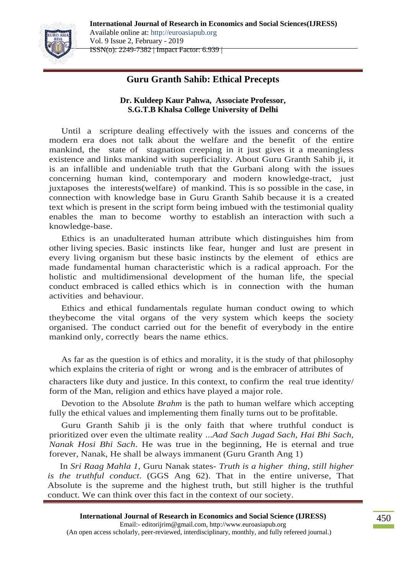**International Journal of Research in Economics and Social Sciences(IJRESS)** Available online at: http://euroasiapub.org Vol. 9 Issue 2, February - 2019

ISSN(o): 2249-7382 | Impact Factor: 6.939 |

# **Guru Granth Sahib: Ethical Precepts**

### **Dr. Kuldeep Kaur Pahwa, Associate Professor, S.G.T.B Khalsa College University of Delhi**

Until a scripture dealing effectively with the issues and concerns of the modern era does not talk about the welfare and the benefit of the entire mankind, the state of stagnation creeping in it just gives it a meaningless existence and links mankind with superficiality. About Guru Granth Sahib ji, it is an infallible and undeniable truth that the Gurbani along with the issues concerning human kind, contemporary and modern knowledge-tract, just juxtaposes the interests(welfare) of mankind. This is so possible in the case, in connection with knowledge base in Guru Granth Sahib because it is a created text which is present in the script form being imbued with the testimonial quality enables the man to become worthy to establish an interaction with such a knowledge-base.

Ethics is an unadulterated human attribute which distinguishes him from other living species. Basic instincts like fear, hunger and lust are present in every living organism but these basic instincts by the element of ethics are made fundamental human characteristic which is a radical approach. For the holistic and multidimensional development of the human life, the special conduct embraced is called ethics which is in connection with the human activities and behaviour.

Ethics and ethical fundamentals regulate human conduct owing to which theybecome the vital organs of the very system which keeps the society organised. The conduct carried out for the benefit of everybody in the entire mankind only, correctly bears the name ethics.

As far as the question is of ethics and morality, it is the study of that philosophy which explains the criteria of right or wrong and is the embracer of attributes of

characters like duty and justice. In this context, to confirm the real true identity/ form of the Man, religion and ethics have played a major role.

Devotion to the Absolute *Brahm* is the path to human welfare which accepting fully the ethical values and implementing them finally turns out to be profitable.

Guru Granth Sahib ji is the only faith that where truthful conduct is prioritized over even the ultimate reality ...*Aad Sach Jugad Sach, Hai Bhi Sach, Nanak Hosi Bhi Sach*. He was true in the beginning, He is eternal and true forever, Nanak, He shall be always immanent (Guru Granth Ang 1)

In *Sri Raag Mahla 1,* Guru Nanak states- *Truth is a higher thing, still higher is the truthful conduct*. (GGS Ang 62). That in the entire universe, That Absolute is the supreme and the highest truth, but still higher is the truthful conduct. We can think over this fact in the context of our society.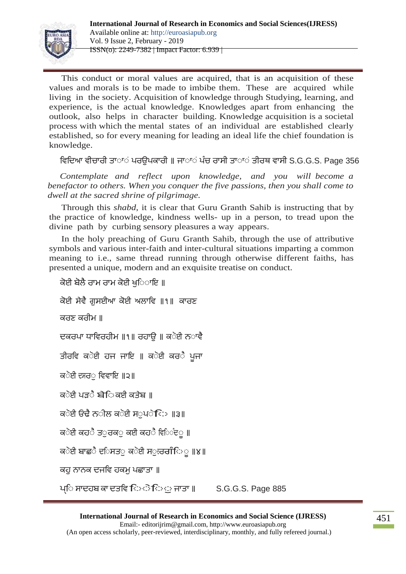

This conduct or moral values are acquired, that is an acquisition of these values and morals is to be made to imbibe them. These are acquired while living in the society. Acquisition of knowledge through Studying, learning, and experience, is the actual knowledge. Knowledges apart from enhancing the outlook, also helps in character building. Knowledge acquisition is a societal process with which the mental states of an individual are established clearly established, so for every meaning for leading an ideal life the chief foundation is knowledge.

ਵਿਦਿਆ ਵੀਚਾਰੀ ਤਾ**ਾ**ਂ ਪਰੳਪਕਾਰੀ ॥ ਜਾਾਾਂ ਪੰਚ ਰਾਸੀ ਤਾਾਾਂ ਤੀਰਥ ਵਾਸੀ S.G.G.S. Page 356

*Contemplate and reflect upon knowledge, and you will become a benefactor to others. When you conquer the five passions, then you shall come to dwell at the sacred shrine of pilgrimage.*

Through this *shabd*, it is clear that Guru Granth Sahib is instructing that by the practice of knowledge, kindness wells- up in a person, to tread upon the divine path by curbing sensory pleasures a way appears.

In the holy preaching of Guru Granth Sahib, through the use of attributive symbols and various inter-faith and inter-cultural situations imparting a common meaning to i.e., same thread running through otherwise different faiths, has presented a unique, modern and an exquisite treatise on conduct.

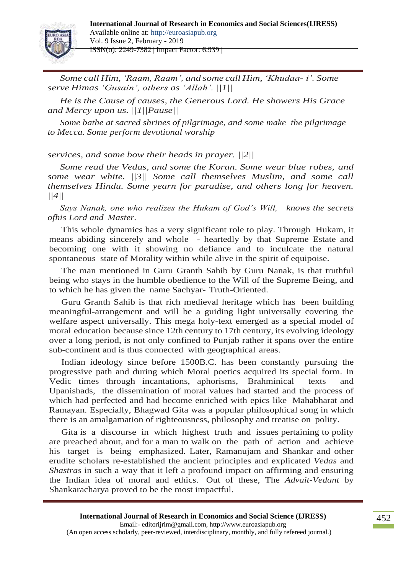

*Some call Him,'Raam, Raam', and some call Him,'Khudaa- i'. Some serve Himas 'Gusain', others as 'Allah'. ||1||*

*He is the Cause of causes, the Generous Lord. He showers His Grace and Mercy upon us. ||1||Pause||*

*Some bathe at sacred shrines of pilgrimage, and some make the pilgrimage to Mecca. Some perform devotional worship*

*services, and some bow their heads in prayer. ||2||*

*Some read the Vedas, and some the Koran. Some wear blue robes, and some wear white. ||3|| Some call themselves Muslim, and some call themselves Hindu. Some yearn for paradise, and others long for heaven. ||4||*

*Says Nanak, one who realizes the Hukam of God's Will, knows the secrets ofhis Lord and Master.*

This whole dynamics has a very significant role to play. Through Hukam, it means abiding sincerely and whole - heartedly by that Supreme Estate and becoming one with it showing no defiance and to inculcate the natural spontaneous state of Morality within while alive in the spirit of equipoise.

The man mentioned in Guru Granth Sahib by Guru Nanak, is that truthful being who stays in the humble obedience to the Will of the Supreme Being, and to which he has given the name Sachyar- Truth-Oriented.

Guru Granth Sahib is that rich medieval heritage which has been building meaningful-arrangement and will be a guiding light universally covering the welfare aspect universally. This mega holy-text emerged as a special model of moral education because since 12th century to 17th century, its evolving ideology over a long period, is not only confined to Punjab rather it spans over the entire sub-continent and is thus connected with geographical areas.

Indian ideology since before 1500B.C. has been constantly pursuing the progressive path and during which Moral poetics acquired its special form. In Vedic times through incantations, aphorisms, Brahminical texts and Upanishads, the dissemination of moral values had started and the process of which had perfected and had become enriched with epics like Mahabharat and Ramayan. Especially, Bhagwad Gita was a popular philosophical song in which there is an amalgamation of righteousness, philosophy and treatise on polity.

Gita is a discourse in which highest truth and issues pertaining to polity are preached about, and for a man to walk on the path of action and achieve his target is being emphasized. Later, Ramanujam and Shankar and other erudite scholars re-established the ancient principles and explicated *Vedas* and *Shastras* in such a way that it left a profound impact on affirming and ensuring the Indian idea of moral and ethics. Out of these, The *Advait-Vedant* by Shankaracharya proved to be the most impactful.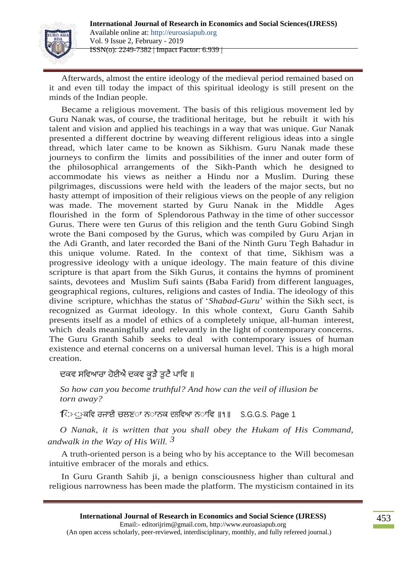

Afterwards, almost the entire ideology of the medieval period remained based on it and even till today the impact of this spiritual ideology is still present on the minds of the Indian people.

Became a religious movement. The basis of this religious movement led by Guru Nanak was, of course, the traditional heritage, but he rebuilt it with his talent and vision and applied his teachings in a way that was unique. Gur Nanak presented a different doctrine by weaving different religious ideas into a single thread, which later came to be known as Sikhism. Guru Nanak made these journeys to confirm the limits and possibilities of the inner and outer form of the philosophical arrangements of the Sikh-Panth which he designed to accommodate his views as neither a Hindu nor a Muslim. During these pilgrimages, discussions were held with the leaders of the major sects, but no hasty attempt of imposition of their religious views on the people of any religion was made. The movement started by Guru Nanak in the Middle Ages flourished in the form of Splendorous Pathway in the time of other successor Gurus. There were ten Gurus of this religion and the tenth Guru Gobind Singh wrote the Bani composed by the Gurus, which was compiled by Guru Arjan in the Adi Granth, and later recorded the Bani of the Ninth Guru Tegh Bahadur in this unique volume. Rated. In the context of that time, Sikhism was a progressive ideology with a unique ideology. The main feature of this divine scripture is that apart from the Sikh Gurus, it contains the hymns of prominent saints, devotees and Muslim Sufi saints (Baba Farid) from different languages, geographical regions, cultures, religions and castes of India. The ideology of this divine scripture, whichhas the status of '*Shabad-Guru*' within the Sikh sect, is recognized as Gurmat ideology. In this whole context, Guru Ganth Sahib presents itself as a model of ethics of a completely unique, all-human interest, which deals meaningfully and relevantly in the light of contemporary concerns. The Guru Granth Sahib seeks to deal with contemporary issues of human existence and eternal concerns on a universal human level. This is a high moral creation.

## ਦਕਵ ਸਵਿਆਰਾ ਹੋਈਐ ਦਕਵ ਕੁੜੈ ਤੁਟੈ ਪਾਵਿ ॥

*So how can you become truthful? And how can the veil of illusion be torn away?*

ਵਾਾੁਕਵਿ ਰਜਾਈ ਚਲਣਾਾ ਨਾਾਨਕ ਦਲਵਿਆ ਨਾਾਵਿ **॥**੧**॥** S.G.G.S. Page <sup>1</sup>

*O Nanak, it is written that you shall obey the Hukam of His Command, andwalk in the Way of His Will. 3*

A truth-oriented person is a being who by his acceptance to the Will becomesan intuitive embracer of the morals and ethics.

In Guru Granth Sahib ji, a benign consciousness higher than cultural and religious narrowness has been made the platform. The mysticism contained in its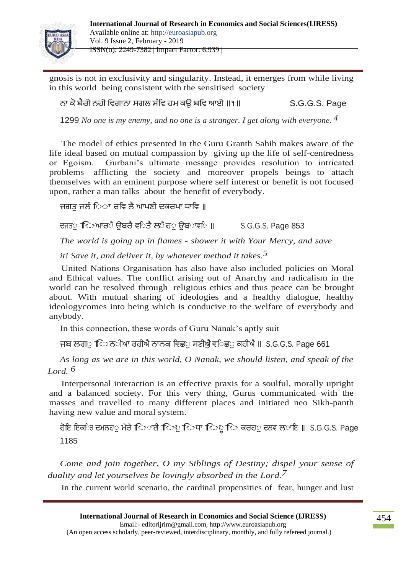

gnosis is not in exclusivity and singularity. Instead, it emerges from while living in this world being consistent with the sensitised society

ਨਾ ਕਬਰੀ ਨਹੀ ਵਿਗਾਨਾ ਸਗਲ ਸੰ ਵਿ ਹਮ ਕਉ ਬਵਿ ਆਈ **॥**੧**॥** S.G.G.S. Page

1299 *No one is my enemy, and no one is a stranger. I get along with everyone. 4*

The model of ethics presented in the Guru Granth Sahib makes aware of the life ideal based on mutual compassion by giving up the life of self-centredness or Egoism. Gurbani's ultimate message provides resolution to intricated problems afflicting the society and moreover propels beings to attach themselves with an eminent purpose where self interest or benefit is not focused upon, rather a man talks about the benefit of everybody.

ਜਗਤੁਜਲੰ ਵਾਾਾ ਰਵਿ ਲਆਣੀ ਦਕਰਾ ਧਾਵਿ **॥**

ਦਜਤ**ਾ ਵਿਤਆਰ**ੈ ਉਬਰੈ ਵ**ਿਤੈ ਲ**ੈਹ**ਂ ਉਬ**ਾਵ**ਿ ॥ S.G.G.S. Page 853** 

*The world is going up in flames - shower it with Your Mercy, and save* 

*it! Save it, and deliver it, by whatever method it takes.5*

United Nations Organisation has also have also included policies on Moral and Ethical values. The conflict arising out of Anarchy and radicalism in the world can be resolved through religious ethics and thus peace can be brought about. With mutual sharing of ideologies and a healthy dialogue, healthy ideologycomes into being which is conducive to the welfare of everybody and anybody.

In this connection, these words of Guru Nanak's aptly suit

ਜਬ ਲਗ**ਾ ਿ**ੁਨ**ੀਆ ਰਹੀਐ ਨਾਨਕ ਵਿਛ**ਾ ਸਣੀਐ ਵ**ਿਛ**ਾ ਕਹੀਐ ॥ S.G.G.S. Page 661

*As long as we are in this world, O Nanak, we should listen, and speak of the Lord. 6*

Interpersonal interaction is an effective praxis for a soulful, morally upright and a balanced society. For this very thing, Gurus communicated with the masses and travelled to many different places and initiated neo Sikh-panth having new value and moral system.

ਹਇ ਇਕਵਾਰ ਦਮਲਹਾੁਮਰਵਾਾਾਈ ਵਾਿਾੁਵਾਧਾ ਵਾਿਾੂਵਾ ਕਰਹਾੁਦਲਿ ਲਾਾਇ **॥** S.G.G.S. Page 1185

*Come and join together, O my Siblings of Destiny; dispel your sense of duality and let yourselves be lovingly absorbed in the Lord.7*

In the current world scenario, the cardinal propensities of fear, hunger and lust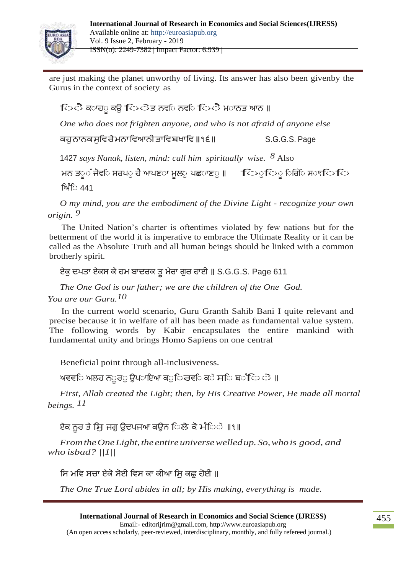

are just making the planet unworthy of living. Its answer has also been givenby the Gurus in the context of society as

ਵਿਧਾਨ**ੇ** ਕਾਹਾੂ ਕਉ ਵਿਸਟੇਤ ਨਵੀ ਨਵੀ ਵਿਸਟੈ ਮਾਨਤ ਆਨ ॥

*One who does not frighten anyone, and who is not afraid of anyone else*

ਕਹੁਨਾਨਕਸੁਵਿਰਮਨਾਵਿਆਨੀਤਾਵਿਬਖਾਵਿ**॥**੧੬**॥** S.G.G.S. Page

<sup>1427</sup>*says Nanak, listen, mind: call him spiritually wise. 8* Also

ਮਨ ਤ**ੂ**ੰ ਜੋਵ**ਿ ਸਰਪ**ੁ ਹੈ ਆਪਣ**ਾ ਮੁਲ**ੁ ਪਛਾਣ**ੁ ॥ ਵਿ**>ੁਿਾੁ ਿਥਿੰਿ ਸਾਾਵ**ਿ** ਵਿ> <u>ਸਿੰਿ 441</u>

*O my mind, you are the embodiment of the Divine Light - recognize your own origin. 9*

The United Nation's charter is oftentimes violated by few nations but for the betterment of the world it is imperative to embrace the Ultimate Reality or it can be called as the Absolute Truth and all human beings should be linked with a common brotherly spirit.

ਏਕੁਦਤਾ ਏਕਸ ਕਹਮ ਬਾਦਰਕ ਤੂਮਰਾ ਗੁਰ ਹਾਈ **॥** S.G.G.S. Page 611

*The One God is our father; we are the children of the One God. You are our Guru.10*

In the current world scenario, Guru Granth Sahib Bani I quite relevant and precise because it in welfare of all has been made as fundamental value system. The following words by Kabir encapsulates the entire mankind with fundamental unity and brings Homo Sapiens on one central

Beneficial point through all-inclusiveness.

ਅਵਵ**ਿ ਅਲਹ ਨ**ੂਰ**ੁ ਉਪ**ਾਇਆ ਕ**ੁ**ਿਰਵ**ਿ ਕ**ੇ ਸ**ਿ ਬ**ੰਿਾ ੋ ॥

*First, Allah created the Light; then, by His Creative Power, He made all mortal beings. 11*

ਏਕ ਨਰ ਤੇ ਸਿ ਜਗ ੳਦਪਜਆ ਕੳਨ ਿਲੇ ਕੇ ਮੰਿੇ ॥१॥

*From the One Light, the entire universe welled up. So, who is good, and who isbad? ||1||*

ਸਿ ਮਵਿ ਸਚਾ ਏਕੋ ਸੋਈ ਵਿਸ ਕਾ ਕੀਆ ਸਿ ਕਛ ਹੋਈ ॥

*The One True Lord abides in all; by His making, everything is made.*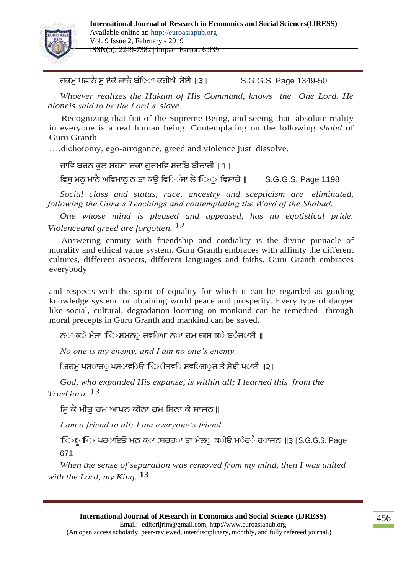

ਹਕਮ ਪਛਾਨੈ ਸ ਏਕੋ ਜਾਨੈ ਬੰਿਾ ਕਹੀਐ ਸੋਈ ॥੩॥ S.G.G.S. Page 1349-50

*Whoever realizes the Hukam of His Command, knows the One Lord. He aloneis said to be the Lord's slave.*

Recognizing that fiat of the Supreme Being, and seeing that absolute reality in everyone is a real human being. Contemplating on the following *shabd* of Guru Granth

….dichotomy, ego-arrogance, greed and violence just dissolve.

ਜਾਵਿ ਬਰਨ ਕੁਲ ਸਹਸਾ ਚਕਾ ਗੁਰਮਵਿ ਸਦਵਬ ਬੀਚਾਰੀ **॥**੧**॥**

ਵਿਸ ਮਨ ਮਾਨੈ ਅਵਿਮਾਨ ਨ ਤਾ ਕੳ ਵਿਿੰਸਾ ਲੋ ਿਿ ਵਿਸਾਰੇ ॥ S.G.G.S. Page 1198

*Social class and status, race, ancestry and scepticism are eliminated, following the Guru's Teachings and contemplating the Word of the Shabad.*

*One whose mind is pleased and appeased, has no egotistical pride. Violenceand greed are forgotten. 12*

Answering enmity with friendship and cordiality is the divine pinnacle of morality and ethical value system. Guru Granth embraces with affinity the different cultures, different aspects, different languages and faiths. Guru Granth embraces everybody

and respects with the spirit of equality for which it can be regarded as guiding knowledge system for obtaining world peace and prosperity. Every type of danger like social, cultural, degradation looming on mankind can be remedied through moral precepts in Guru Granth and mankind can be saved.

ਨ**ਾ ਕ**ੇ ਮੇਰਾ ਵਿ>ਸਮਨ**ਂ ਰਵ**ਿਆ ਨ**ਾ ਹਮ ਦਕਸ ਕ**ੇ ਬ**ੈਰ**ਾਈ ॥

*No one is my enemy, and I am no one's enemy.*

ਿਰਹਮ ਪਸ**ਾਰ**ਂ ਪਸ**ਾਵ**ਿਓ ਿਿ**ੀਤਵ**ਿ ਸਵ**ਿਗ**ਾਰ ਤੇ ਸੋਝੀ ਪ**ਾਈ ॥੨॥** 

*God, who expanded His expanse, is within all; I learned this from the TrueGuru. 13*

ਸਿ ਕੋ ਮੀਤ ਹਮ ਆਪਨ ਕੀਨਾ ਹਮ ਸਿਨਾ ਕੇ ਸਾਜਨ॥

*I am a friend to all; I am everyone's friend.*

ਵਾਿਾੂਵਾ ਰਾਾਇ ਮਨ ਕਾਾ ਦਬਰਹਾਾ ਤਾ ਮਲਾੁਕਾੀ ਮਾਰਾਰਾਾਜਨ **॥**੩**॥**S.G.G.S. Page 671

*When the sense of separation was removed from my mind, then I was united with the Lord, my King.* **13**